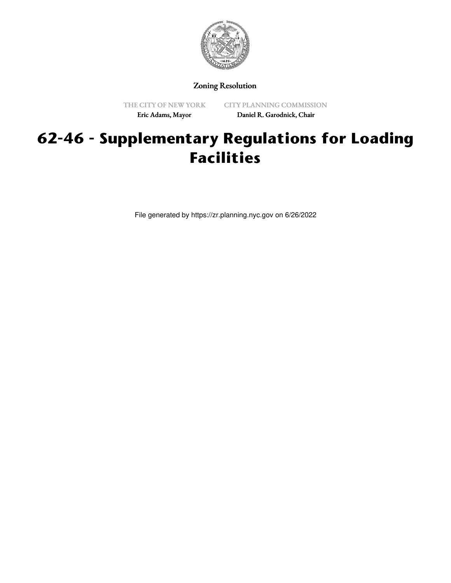

Zoning Resolution

THE CITY OF NEW YORK Eric Adams, Mayor

CITY PLANNING COMMISSION Daniel R. Garodnick, Chair

# **62-46 - Supplementary Regulations for Loading Facilities**

File generated by https://zr.planning.nyc.gov on 6/26/2022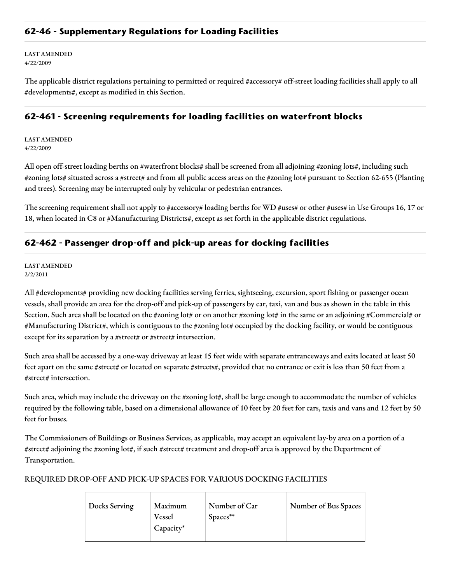### **62-46 - Supplementary Regulations for Loading Facilities**

LAST AMENDED 4/22/2009

The applicable district regulations pertaining to permitted or required #accessory# off-street loading facilities shall apply to all #developments#, except as modified in this Section.

#### **62-461 - Screening requirements for loading facilities on waterfront blocks**

LAST AMENDED 4/22/2009

All open off-street loading berths on #waterfront blocks# shall be screened from all adjoining #zoning lots#, including such #zoning lots# situated across a #street# and from all public access areas on the #zoning lot# pursuant to Section 62-655 (Planting and trees). Screening may be interrupted only by vehicular or pedestrian entrances.

The screening requirement shall not apply to #accessory# loading berths for WD #uses# or other #uses# in Use Groups 16, 17 or 18, when located in C8 or #Manufacturing Districts#, except as set forth in the applicable district regulations.

## **62-462 - Passenger drop-off and pick-up areas for docking facilities**

LAST AMENDED 2/2/2011

All #developments# providing new docking facilities serving ferries, sightseeing, excursion, sport fishing or passenger ocean vessels, shall provide an area for the drop-off and pick-up of passengers by car, taxi, van and bus as shown in the table in this Section. Such area shall be located on the #zoning lot# or on another #zoning lot# in the same or an adjoining #Commercial# or #Manufacturing District#, which is contiguous to the #zoning lot# occupied by the docking facility, or would be contiguous except for its separation by a #street# or #street# intersection.

Such area shall be accessed by a one-way driveway at least 15 feet wide with separate entranceways and exits located at least 50 feet apart on the same #street# or located on separate #streets#, provided that no entrance or exit is less than 50 feet from a #street# intersection.

Such area, which may include the driveway on the #zoning lot#, shall be large enough to accommodate the number of vehicles required by the following table, based on a dimensional allowance of 10 feet by 20 feet for cars, taxis and vans and 12 feet by 50 feet for buses.

The Commissioners of Buildings or Business Services, as applicable, may accept an equivalent lay-by area on a portion of a #street# adjoining the #zoning lot#, if such #street# treatment and drop-off area is approved by the Department of Transportation.

#### REQUIRED DROP-OFF AND PICK-UP SPACES FOR VARIOUS DOCKING FACILITIES

| Docks Serving | Maximum<br>Vessel | Number of Car<br>Spaces** | Number of Bus Spaces |
|---------------|-------------------|---------------------------|----------------------|
|               | Capacity*         |                           |                      |